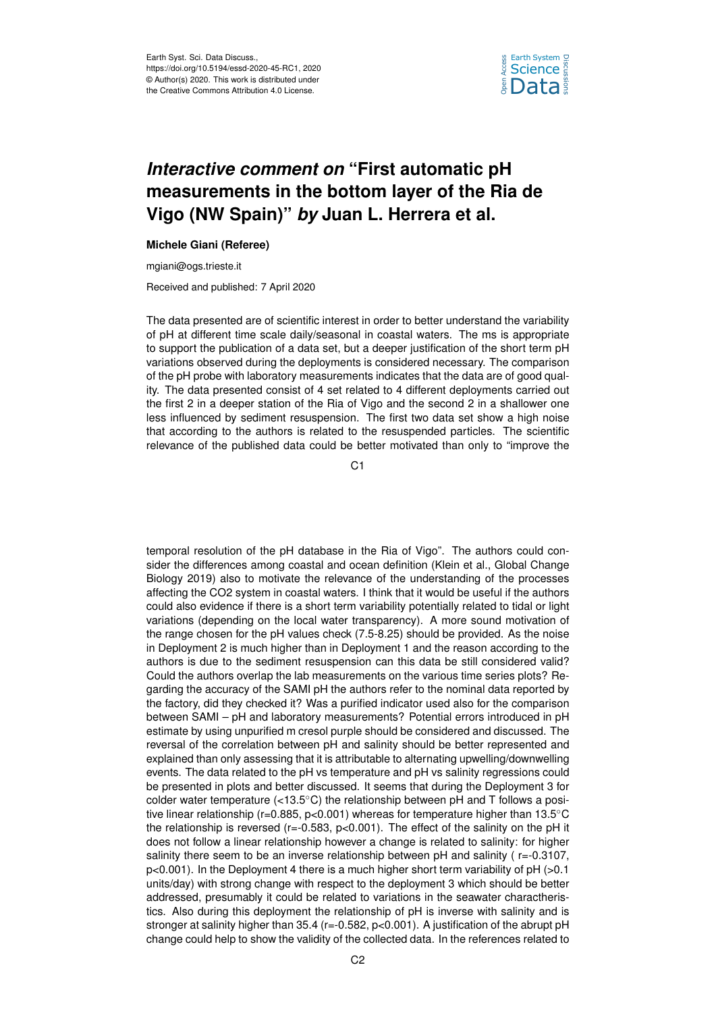

## *Interactive comment on* **"First automatic pH measurements in the bottom layer of the Ria de Vigo (NW Spain)"** *by* **Juan L. Herrera et al.**

## **Michele Giani (Referee)**

mgiani@ogs.trieste.it

Received and published: 7 April 2020

The data presented are of scientific interest in order to better understand the variability of pH at different time scale daily/seasonal in coastal waters. The ms is appropriate to support the publication of a data set, but a deeper justification of the short term pH variations observed during the deployments is considered necessary. The comparison of the pH probe with laboratory measurements indicates that the data are of good quality. The data presented consist of 4 set related to 4 different deployments carried out the first 2 in a deeper station of the Ria of Vigo and the second 2 in a shallower one less influenced by sediment resuspension. The first two data set show a high noise that according to the authors is related to the resuspended particles. The scientific relevance of the published data could be better motivated than only to "improve the

C1

temporal resolution of the pH database in the Ria of Vigo". The authors could consider the differences among coastal and ocean definition (Klein et al., Global Change Biology 2019) also to motivate the relevance of the understanding of the processes affecting the CO2 system in coastal waters. I think that it would be useful if the authors could also evidence if there is a short term variability potentially related to tidal or light variations (depending on the local water transparency). A more sound motivation of the range chosen for the pH values check (7.5-8.25) should be provided. As the noise in Deployment 2 is much higher than in Deployment 1 and the reason according to the authors is due to the sediment resuspension can this data be still considered valid? Could the authors overlap the lab measurements on the various time series plots? Regarding the accuracy of the SAMI pH the authors refer to the nominal data reported by the factory, did they checked it? Was a purified indicator used also for the comparison between SAMI – pH and laboratory measurements? Potential errors introduced in pH estimate by using unpurified m cresol purple should be considered and discussed. The reversal of the correlation between pH and salinity should be better represented and explained than only assessing that it is attributable to alternating upwelling/downwelling events. The data related to the pH vs temperature and pH vs salinity regressions could be presented in plots and better discussed. It seems that during the Deployment 3 for colder water temperature  $\left\langle \langle 13.5^{\circ} \rangle \right\rangle$  the relationship between pH and T follows a positive linear relationship (r=0.885, p<0.001) whereas for temperature higher than 13.5◦C the relationship is reversed ( $r=-0.583$ ,  $p<0.001$ ). The effect of the salinity on the pH it does not follow a linear relationship however a change is related to salinity: for higher salinity there seem to be an inverse relationship between pH and salinity  $(r=-0.3107,$  $p<0.001$ ). In the Deployment 4 there is a much higher short term variability of  $pH >0.1$ units/day) with strong change with respect to the deployment 3 which should be better addressed, presumably it could be related to variations in the seawater charactheristics. Also during this deployment the relationship of pH is inverse with salinity and is stronger at salinity higher than 35.4 (r=-0.582, p<0.001). A justification of the abrupt pH change could help to show the validity of the collected data. In the references related to